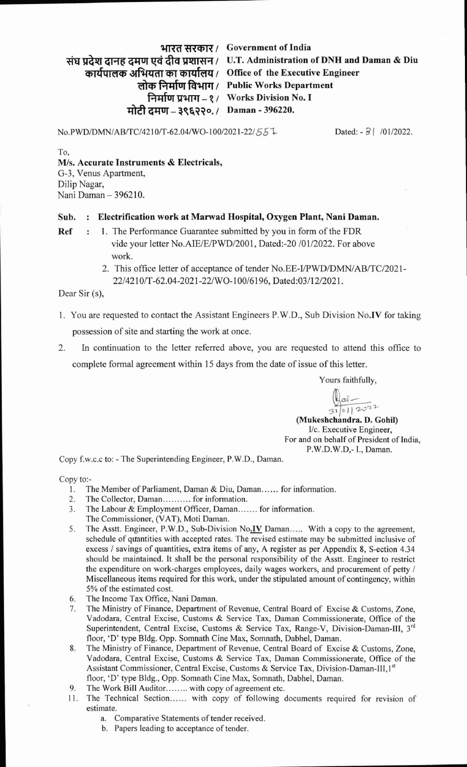## **wm Government of India**

संघ प्रदेश दानह दमण एवं दीव प्रशासन / U.T. Administration of DNH and Daman & Diu

\*og **I Office of the Executive Engineer** 

**लोक निर्माण विभाग** / Public Works Department

**gW** - **1 1 Works Division No. I**  *rifftm-* **\$f&??o.** / **Daman** - **396220.** 

**~o.PWDIDMN/AB/TC/421O~T-62.04/WO-100/2021-22/~~** % Dated: - **3** ( /01/2022.

To, **MIS. Accurate Instruments** & **Electricals,**  G-3, Venus Apartment, Dilip Nagar, Nani Daman - 396210.

## Sub. : Electrification work at Marwad Hospital, Oxygen Plant, Nani Daman.

- **Ref** : 1. The Performance Guarantee submitted by you in form of the FDR vide your letter No.AIE/E/PWD/2001, Dated:-20 /01/2022. For above work.
	- 2. This office letter of acceptance of tender No.EE-I/PWD/DMN/AB/TC/2021-221421 **OIT-62.04-2021-221WO-10016196,** Dated:03/12/2021.

Dear Sir (s),

- 1. You are requested to contact the Assistant Engineers P.W.D., Sub Division No.IV for taking possession of site and starting the work at once.
- 2. In continuation to the letter referred above, you are requested to attend this office to complete formal agreement within 15 days from the date of issue of this letter.

Yours faithfully,

 $\frac{ln}{31}$  01/2022 (Mukeshchandra. D. Gohil)

I/c. Executive Engineer, For and on behalf of President of India, P.W.D.W.D,- I., Daman.

Copy f.w.c.c to: - The Superintending Engineer, P.W.D., Daman.

Copy t0:-

- 1. The Member of Parliament, Daman & Diu, Daman...... for information.
- 2. The Collector, Daman........... for information.
- 3. The Labour & Employment Officer, Daman....... for information.
- The Commissioner, (VAT), Moti Daman.
- 5. The Asstt. Engineer, P.W.D., Sub-Division No.IV Daman..... With a copy to the agreement, schedule of quantities with accepted rates. The revised estimate may be submitted inclusive of excess / savings of quantities, extra items of any, A register as per Appendix 8, S-ection 4.34 should be maintained. It shall be the personal responsibility of the Asstt. Engineer to restrict the expenditure on work-charges employees, daily wages workers, and procurement of petty / Miscellaneous items required for this work, under the stipulated amount of contingency, within 5% of the estimated cost.
- **6.** The Income Tax Ofice, Nani Daman.
- 7. The Ministry of Finance, Department of Revenue, Central Board of Excise & Customs, Zone, Vadodara, Central Excise, Customs & Service Tax, Daman Commissionerate, Office of the Superintendent, Central Excise, Customs & Service Tax, Range-V, Division-Daman-111, **3'd**  floor, 'D' type Bldg. Opp. Somnath Cine Max, Somnath, Dabhel, Daman.
- 8. The Ministry of Finance, Department of Revenue, Central Board of Excise & Customs, Zone, Vadodara, Central Excise, Customs & Service Tax, Daman Commissionerate, Office of the Assistant Commissioner, Central Excise, Customs & Service Tax, Division-Daman-III,1st floor, 'D' type Bldg., Opp. Somnath Cine Max, Somnath, Dabhel, Daman.
- 9. The Work Bill Auditor........ with copy of agreement etc.
- 11. The Technical Section...... with copy of following documents required for revision of estimate.
	- a. Comparative Statements of tender received.
	- b. Papers leading to acceptance of tender.